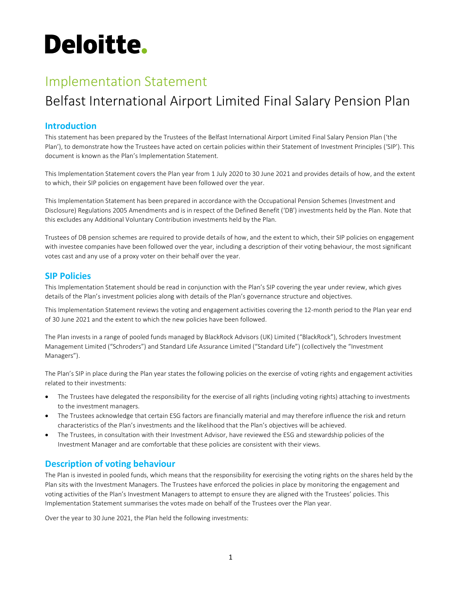# **Deloitte.**

# Implementation Statement

# Belfast International Airport Limited Final Salary Pension Plan

# Introduction

This statement has been prepared by the Trustees of the Belfast International Airport Limited Final Salary Pension Plan ('the Plan'), to demonstrate how the Trustees have acted on certain policies within their Statement of Investment Principles ('SIP'). This document is known as the Plan's Implementation Statement.

This Implementation Statement covers the Plan year from 1 July 2020 to 30 June 2021 and provides details of how, and the extent to which, their SIP policies on engagement have been followed over the year.

This Implementation Statement has been prepared in accordance with the Occupational Pension Schemes (Investment and Disclosure) Regulations 2005 Amendments and is in respect of the Defined Benefit ('DB') investments held by the Plan. Note that this excludes any Additional Voluntary Contribution investments held by the Plan.

Trustees of DB pension schemes are required to provide details of how, and the extent to which, their SIP policies on engagement with investee companies have been followed over the year, including a description of their voting behaviour, the most significant votes cast and any use of a proxy voter on their behalf over the year.

## SIP Policies

This Implementation Statement should be read in conjunction with the Plan's SIP covering the year under review, which gives details of the Plan's investment policies along with details of the Plan's governance structure and objectives.

This Implementation Statement reviews the voting and engagement activities covering the 12-month period to the Plan year end of 30 June 2021 and the extent to which the new policies have been followed.

The Plan invests in a range of pooled funds managed by BlackRock Advisors (UK) Limited ("BlackRock"), Schroders Investment Management Limited ("Schroders") and Standard Life Assurance Limited ("Standard Life") (collectively the "Investment Managers").

The Plan's SIP in place during the Plan year states the following policies on the exercise of voting rights and engagement activities related to their investments:

- The Trustees have delegated the responsibility for the exercise of all rights (including voting rights) attaching to investments to the investment managers.
- The Trustees acknowledge that certain ESG factors are financially material and may therefore influence the risk and return characteristics of the Plan's investments and the likelihood that the Plan's objectives will be achieved.
- The Trustees, in consultation with their Investment Advisor, have reviewed the ESG and stewardship policies of the Investment Manager and are comfortable that these policies are consistent with their views.

# Description of voting behaviour

The Plan is invested in pooled funds, which means that the responsibility for exercising the voting rights on the shares held by the Plan sits with the Investment Managers. The Trustees have enforced the policies in place by monitoring the engagement and voting activities of the Plan's Investment Managers to attempt to ensure they are aligned with the Trustees' policies. This Implementation Statement summarises the votes made on behalf of the Trustees over the Plan year.

Over the year to 30 June 2021, the Plan held the following investments: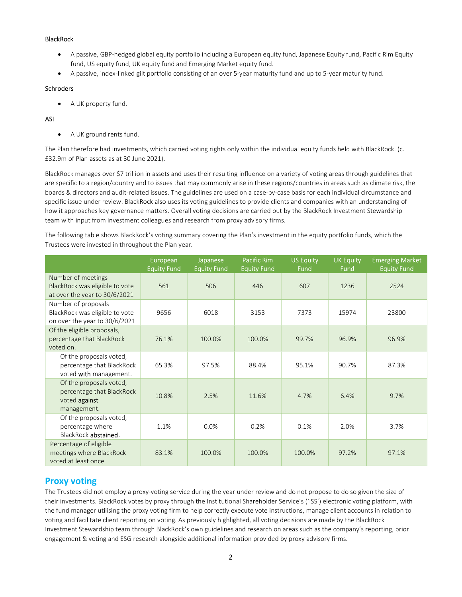#### BlackRock

- A passive, GBP-hedged global equity portfolio including a European equity fund, Japanese Equity fund, Pacific Rim Equity fund, US equity fund, UK equity fund and Emerging Market equity fund.
- A passive, index-linked gilt portfolio consisting of an over 5-year maturity fund and up to 5-year maturity fund.

#### **Schroders**

• A UK property fund.

#### ASI

• A UK ground rents fund.

The Plan therefore had investments, which carried voting rights only within the individual equity funds held with BlackRock. (c. £32.9m of Plan assets as at 30 June 2021).

BlackRock manages over \$7 trillion in assets and uses their resulting influence on a variety of voting areas through guidelines that are specific to a region/country and to issues that may commonly arise in these regions/countries in areas such as climate risk, the boards & directors and audit-related issues. The guidelines are used on a case-by-case basis for each individual circumstance and specific issue under review. BlackRock also uses its voting guidelines to provide clients and companies with an understanding of how it approaches key governance matters. Overall voting decisions are carried out by the BlackRock Investment Stewardship team with input from investment colleagues and research from proxy advisory firms.

The following table shows BlackRock's voting summary covering the Plan's investment in the equity portfolio funds, which the Trustees were invested in throughout the Plan year.

|                                                                                                                         | European<br><b>Equity Fund</b> | Japanese<br><b>Equity Fund</b> | <b>Pacific Rim</b><br><b>Equity Fund</b> | <b>US Equity</b><br><b>Fund</b> | <b>UK Equity</b><br>Fund | <b>Emerging Market</b><br><b>Equity Fund</b> |
|-------------------------------------------------------------------------------------------------------------------------|--------------------------------|--------------------------------|------------------------------------------|---------------------------------|--------------------------|----------------------------------------------|
| Number of meetings<br>BlackRock was eligible to vote                                                                    | 561                            | 506                            | 446                                      | 607                             | 1236                     | 2524                                         |
| at over the year to 30/6/2021<br>Number of proposals<br>BlackRock was eligible to vote<br>on over the year to 30/6/2021 | 9656                           | 6018                           | 3153                                     | 7373                            | 15974                    | 23800                                        |
| Of the eligible proposals,<br>percentage that BlackRock<br>voted on.                                                    | 76.1%                          | 100.0%                         | 100.0%                                   | 99.7%                           | 96.9%                    | 96.9%                                        |
| Of the proposals voted,<br>percentage that BlackRock<br>voted with management.                                          | 65.3%                          | 97.5%                          | 88.4%                                    | 95.1%                           | 90.7%                    | 87.3%                                        |
| Of the proposals voted,<br>percentage that BlackRock<br>voted against<br>management.                                    | 10.8%                          | 2.5%                           | 11.6%                                    | 4.7%                            | 6.4%                     | 9.7%                                         |
| Of the proposals voted,<br>percentage where<br>BlackRock abstained.                                                     | 1.1%                           | 0.0%                           | 0.2%                                     | 0.1%                            | 2.0%                     | 3.7%                                         |
| Percentage of eligible<br>meetings where BlackRock<br>voted at least once                                               | 83.1%                          | 100.0%                         | 100.0%                                   | 100.0%                          | 97.2%                    | 97.1%                                        |

# Proxy voting

The Trustees did not employ a proxy-voting service during the year under review and do not propose to do so given the size of their investments. BlackRock votes by proxy through the Institutional Shareholder Service's ('ISS') electronic voting platform, with the fund manager utilising the proxy voting firm to help correctly execute vote instructions, manage client accounts in relation to voting and facilitate client reporting on voting. As previously highlighted, all voting decisions are made by the BlackRock Investment Stewardship team through BlackRock's own guidelines and research on areas such as the company's reporting, prior engagement & voting and ESG research alongside additional information provided by proxy advisory firms.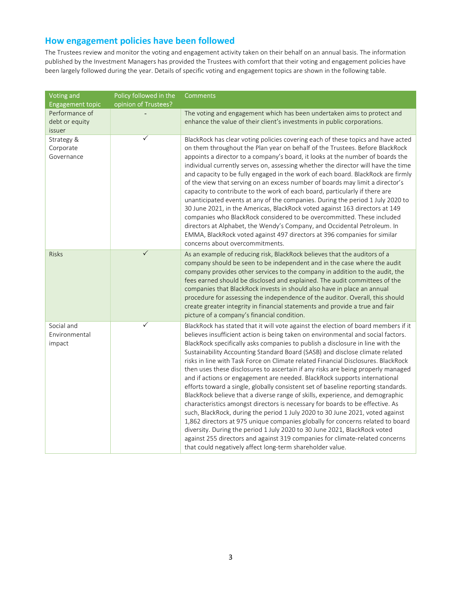# How engagement policies have been followed

The Trustees review and monitor the voting and engagement activity taken on their behalf on an annual basis. The information published by the Investment Managers has provided the Trustees with comfort that their voting and engagement policies have been largely followed during the year. Details of specific voting and engagement topics are shown in the following table.

| <b>Voting and</b><br><b>Engagement topic</b> | Policy followed in the<br>opinion of Trustees? | <b>Comments</b>                                                                                                                                                                                                                                                                                                                                                                                                                                                                                                                                                                                                                                                                                                                                                                                                                                                                                                                                                                                                                                                                                                                                                                                                                                    |
|----------------------------------------------|------------------------------------------------|----------------------------------------------------------------------------------------------------------------------------------------------------------------------------------------------------------------------------------------------------------------------------------------------------------------------------------------------------------------------------------------------------------------------------------------------------------------------------------------------------------------------------------------------------------------------------------------------------------------------------------------------------------------------------------------------------------------------------------------------------------------------------------------------------------------------------------------------------------------------------------------------------------------------------------------------------------------------------------------------------------------------------------------------------------------------------------------------------------------------------------------------------------------------------------------------------------------------------------------------------|
| Performance of<br>debt or equity<br>issuer   |                                                | The voting and engagement which has been undertaken aims to protect and<br>enhance the value of their client's investments in public corporations.                                                                                                                                                                                                                                                                                                                                                                                                                                                                                                                                                                                                                                                                                                                                                                                                                                                                                                                                                                                                                                                                                                 |
| Strategy &<br>Corporate<br>Governance        | ✓                                              | BlackRock has clear voting policies covering each of these topics and have acted<br>on them throughout the Plan year on behalf of the Trustees. Before BlackRock<br>appoints a director to a company's board, it looks at the number of boards the<br>individual currently serves on, assessing whether the director will have the time<br>and capacity to be fully engaged in the work of each board. BlackRock are firmly<br>of the view that serving on an excess number of boards may limit a director's<br>capacity to contribute to the work of each board, particularly if there are<br>unanticipated events at any of the companies. During the period 1 July 2020 to<br>30 June 2021, in the Americas, BlackRock voted against 163 directors at 149<br>companies who BlackRock considered to be overcommitted. These included<br>directors at Alphabet, the Wendy's Company, and Occidental Petroleum. In<br>EMMA, BlackRock voted against 497 directors at 396 companies for similar<br>concerns about overcommitments.                                                                                                                                                                                                                  |
| <b>Risks</b>                                 | $\checkmark$                                   | As an example of reducing risk, BlackRock believes that the auditors of a<br>company should be seen to be independent and in the case where the audit<br>company provides other services to the company in addition to the audit, the<br>fees earned should be disclosed and explained. The audit committees of the<br>companies that BlackRock invests in should also have in place an annual<br>procedure for assessing the independence of the auditor. Overall, this should<br>create greater integrity in financial statements and provide a true and fair<br>picture of a company's financial condition.                                                                                                                                                                                                                                                                                                                                                                                                                                                                                                                                                                                                                                     |
| Social and<br>Environmental<br>impact        | $\checkmark$                                   | BlackRock has stated that it will vote against the election of board members if it<br>believes insufficient action is being taken on environmental and social factors.<br>BlackRock specifically asks companies to publish a disclosure in line with the<br>Sustainability Accounting Standard Board (SASB) and disclose climate related<br>risks in line with Task Force on Climate related Financial Disclosures. BlackRock<br>then uses these disclosures to ascertain if any risks are being properly managed<br>and if actions or engagement are needed. BlackRock supports international<br>efforts toward a single, globally consistent set of baseline reporting standards.<br>BlackRock believe that a diverse range of skills, experience, and demographic<br>characteristics amongst directors is necessary for boards to be effective. As<br>such, BlackRock, during the period 1 July 2020 to 30 June 2021, voted against<br>1,862 directors at 975 unique companies globally for concerns related to board<br>diversity. During the period 1 July 2020 to 30 June 2021, BlackRock voted<br>against 255 directors and against 319 companies for climate-related concerns<br>that could negatively affect long-term shareholder value. |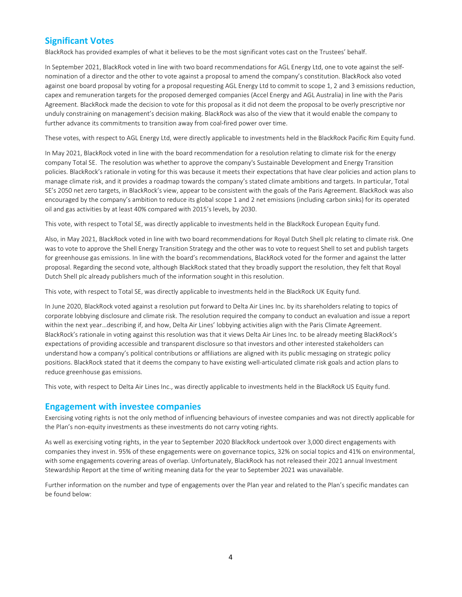## Significant Votes

BlackRock has provided examples of what it believes to be the most significant votes cast on the Trustees' behalf.

In September 2021, BlackRock voted in line with two board recommendations for AGL Energy Ltd, one to vote against the selfnomination of a director and the other to vote against a proposal to amend the company's constitution. BlackRock also voted against one board proposal by voting for a proposal requesting AGL Energy Ltd to commit to scope 1, 2 and 3 emissions reduction, capex and remuneration targets for the proposed demerged companies (Accel Energy and AGL Australia) in line with the Paris Agreement. BlackRock made the decision to vote for this proposal as it did not deem the proposal to be overly prescriptive nor unduly constraining on management's decision making. BlackRock was also of the view that it would enable the company to further advance its commitments to transition away from coal-fired power over time.

These votes, with respect to AGL Energy Ltd, were directly applicable to investments held in the BlackRock Pacific Rim Equity fund.

In May 2021, BlackRock voted in line with the board recommendation for a resolution relating to climate risk for the energy company Total SE. The resolution was whether to approve the company's Sustainable Development and Energy Transition policies. BlackRock's rationale in voting for this was because it meets their expectations that have clear policies and action plans to manage climate risk, and it provides a roadmap towards the company's stated climate ambitions and targets. In particular, Total SE's 2050 net zero targets, in BlackRock's view, appear to be consistent with the goals of the Paris Agreement. BlackRock was also encouraged by the company's ambition to reduce its global scope 1 and 2 net emissions (including carbon sinks) for its operated oil and gas activities by at least 40% compared with 2015's levels, by 2030.

This vote, with respect to Total SE, was directly applicable to investments held in the BlackRock European Equity fund.

Also, in May 2021, BlackRock voted in line with two board recommendations for Royal Dutch Shell plc relating to climate risk. One was to vote to approve the Shell Energy Transition Strategy and the other was to vote to request Shell to set and publish targets for greenhouse gas emissions. In line with the board's recommendations, BlackRock voted for the former and against the latter proposal. Regarding the second vote, although BlackRock stated that they broadly support the resolution, they felt that Royal Dutch Shell plc already publishers much of the information sought in this resolution.

This vote, with respect to Total SE, was directly applicable to investments held in the BlackRock UK Equity fund.

In June 2020, BlackRock voted against a resolution put forward to Delta Air Lines Inc. by its shareholders relating to topics of corporate lobbying disclosure and climate risk. The resolution required the company to conduct an evaluation and issue a report within the next year…describing if, and how, Delta Air Lines' lobbying activities align with the Paris Climate Agreement. BlackRock's rationale in voting against this resolution was that it views Delta Air Lines Inc. to be already meeting BlackRock's expectations of providing accessible and transparent disclosure so that investors and other interested stakeholders can understand how a company's political contributions or affiliations are aligned with its public messaging on strategic policy positions. BlackRock stated that it deems the company to have existing well-articulated climate risk goals and action plans to reduce greenhouse gas emissions.

This vote, with respect to Delta Air Lines Inc., was directly applicable to investments held in the BlackRock US Equity fund.

#### Engagement with investee companies

Exercising voting rights is not the only method of influencing behaviours of investee companies and was not directly applicable for the Plan's non-equity investments as these investments do not carry voting rights.

As well as exercising voting rights, in the year to September 2020 BlackRock undertook over 3,000 direct engagements with companies they invest in. 95% of these engagements were on governance topics, 32% on social topics and 41% on environmental, with some engagements covering areas of overlap. Unfortunately, BlackRock has not released their 2021 annual Investment Stewardship Report at the time of writing meaning data for the year to September 2021 was unavailable.

Further information on the number and type of engagements over the Plan year and related to the Plan's specific mandates can be found below: